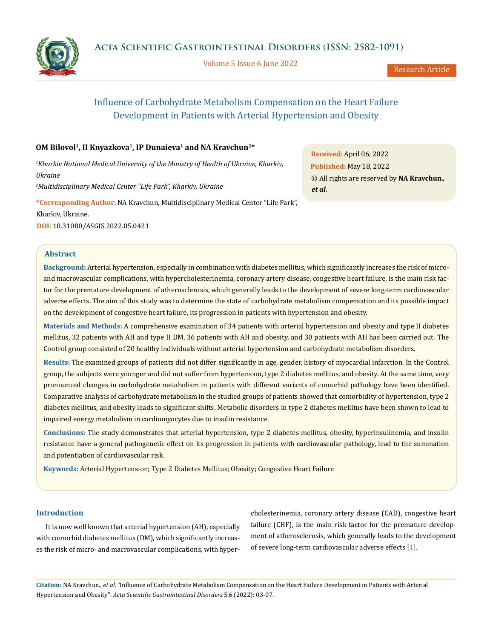Volume 5 Issue 6 June 2022



# Influence of Carbohydrate Metabolism Compensation on the Heart Failure Development in Patients with Arterial Hypertension and Obesity

# **OM Bilovol1, II Knyazkova1, IP Dunaіeva1 and NA Kravchun2\***

*1 Kharkiv National Medical University of the Ministry of Health of Ukraine, Kharkiv, Ukraine 2 Multidisciplinary Medical Center "Life Park", Kharkiv, Ukraine*

**Received:** April 06, 2022 **Published:** May 18, 2022 © All rights are reserved by **NA Kravchun***., et al.*

**\*Corresponding Author:** NA Kravchun, Multidisciplinary Medical Center "Life Park", Kharkiv, Ukraine.

**DOI:** [10.31080/ASGIS.2022.05.0421](https://actascientific.com/ASGIS/pdf/ASGIS-05-0421.pdf)

### **Abstract**

**Background:** Arterial hypertension, especially in combination with diabetes mellitus, which significantly increases the risk of microand macrovascular complications, with hypercholesterinemia, coronary artery disease, congestive heart failure, is the main risk factor for the premature development of atherosclerosis, which generally leads to the development of severe long-term cardiovascular adverse effects. The aim of this study was to determine the state of carbohydrate metabolism compensation and its possible impact on the development of congestive heart failure, its progression in patients with hypertension and obesity.

**Materials and Methods:** A comprehensive examination of 34 patients with arterial hypertension and obesity and type II diabetes mellitus, 32 patients with AH and type II DM, 36 patients with AH and obesity, and 30 patients with AH has been carried out. The Control group consisted of 20 healthy individuals without arterial hypertension and carbohydrate metabolism disorders.

**Results:** The examined groups of patients did not differ significantly in age, gender, history of myocardial infarction. In the Control group, the subjects were younger and did not suffer from hypertension, type 2 diabetes mellitus, and obesity. At the same time, very pronounced changes in carbohydrate metabolism in patients with different variants of comorbid pathology have been identified. Comparative analysis of carbohydrate metabolism in the studied groups of patients showed that comorbidity of hypertension, type 2 diabetes mellitus, and obesity leads to significant shifts. Metabolic disorders in type 2 diabetes mellitus have been shown to lead to impaired energy metabolism in cardiomyocytes due to insulin resistance.

**Conclusions:** The study demonstrates that arterial hypertension, type 2 diabetes mellitus, obesity, hyperinsulinemia, and insulin resistance have a general pathogenetic effect on its progression in patients with cardiovascular pathology, lead to the summation and potentiation of cardiovascular risk.

**Keywords:** Arterial Hypertension; Type 2 Diabetes Mellitus; Obesity; Congestive Heart Failure

## **Introduction**

It is now well known that arterial hypertension (AH), especially with comorbid diabetes mellitus (DM), which significantly increases the risk of micro- and macrovascular complications, with hypercholesterinemia, coronary artery disease (CAD), congestive heart failure (CHF), is the main risk factor for the premature development of atherosclerosis, which generally leads to the development of severe long-term cardiovascular adverse effects [1].

**Citation:** NA Kravchun*., et al.* "Influence of Carbohydrate Metabolism Compensation on the Heart Failure Development in Patients with Arterial Hypertension and Obesity". *Acta Scientific Gastrointestinal Disorders* 5.6 (2022): 03-07.

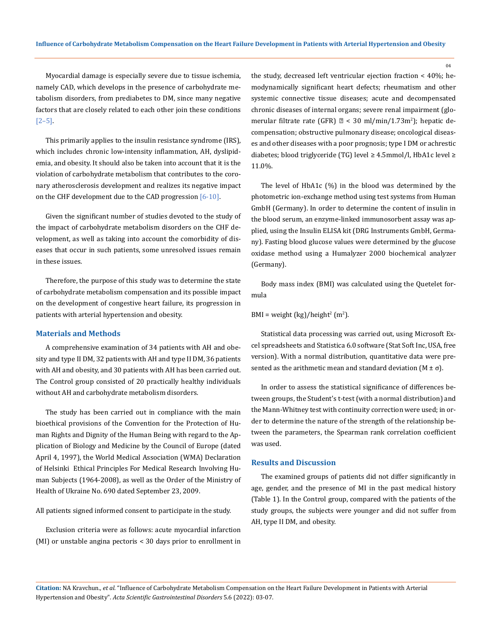Myocardial damage is especially severe due to tissue ischemia, namely CAD, which develops in the presence of carbohydrate metabolism disorders, from prediabetes to DM, since many negative factors that are closely related to each other join these conditions [2–5].

This primarily applies to the insulin resistance syndrome (IRS), which includes chronic low-intensity inflammation, AH, dyslipidemia, and obesity. It should also be taken into account that it is the violation of carbohydrate metabolism that contributes to the coronary atherosclerosis development and realizes its negative impact on the CHF development due to the CAD progression  $[6-10]$ .

Given the significant number of studies devoted to the study of the impact of carbohydrate metabolism disorders on the CHF development, as well as taking into account the comorbidity of diseases that occur in such patients, some unresolved issues remain in these issues.

Therefore, the purpose of this study was to determine the state of carbohydrate metabolism compensation and its possible impact on the development of congestive heart failure, its progression in patients with arterial hypertension and obesity.

#### **Materials and Methods**

A comprehensive examination of 34 patients with AH and obesity and type II DM, 32 patients with AH and type II DM, 36 patients with AH and obesity, and 30 patients with AH has been carried out. The Control group consisted of 20 practically healthy individuals without AH and carbohydrate metabolism disorders.

The study has been carried out in compliance with the main bioethical provisions of the Convention for the Protection of Human Rights and Dignity of the Human Being with regard to the Application of Biology and Medicine by the Council of Europe (dated April 4, 1997), the World Medical Association (WMA) Declaration of Helsinki Ethical Principles For Medical Research Involving Human Subjects (1964-2008), as well as the Order of the Ministry of Health of Ukraine No. 690 dated September 23, 2009.

All patients signed informed consent to participate in the study.

Exclusion criteria were as follows: acute myocardial infarction (MI) or unstable angina pectoris < 30 days prior to enrollment in the study, decreased left ventricular ejection fraction < 40%; hemodynamically significant heart defects; rheumatism and other systemic connective tissue diseases; acute and decompensated chronic diseases of internal organs; severe renal impairment (glomerular filtrate rate (GFR) < 30 ml/min/1.73m<sup>2</sup> ); hepatic decompensation; obstructive pulmonary disease; oncological diseases and other diseases with a poor prognosis; type I DM or achrestic diabetes; blood triglyceride (TG) level ≥ 4.5mmol/l, HbA1c level ≥ 11.0%.

The level of HbA1c (%) in the blood was determined by the photometric ion-exchange method using test systems from Human GmbH (Germany). In order to determine the content of insulin in the blood serum, an enzyme-linked immunosorbent assay was applied, using the Insulin ELISA kit (DRG Instruments GmbH, Germany). Fasting blood glucose values were determined by the glucose oxidase method using a Humalyzer 2000 biochemical analyzer (Germany).

Body mass index (BMI) was calculated using the Quetelet formula

 $\text{BMI} = \text{weight}(\text{kg})/\text{height}^2(\text{m}^2).$ 

Statistical data processing was carried out, using Microsoft Excel spreadsheets and Statistica 6.0 software (Stat Soft Inc, USA, free version). With a normal distribution, quantitative data were presented as the arithmetic mean and standard deviation  $(M \pm \sigma)$ .

In order to assess the statistical significance of differences between groups, the Student's t-test (with a normal distribution) and the Mann-Whitney test with continuity correction were used; in order to determine the nature of the strength of the relationship between the parameters, the Spearman rank correlation coefficient was used.

### **Results and Discussion**

The examined groups of patients did not differ significantly in age, gender, and the presence of MI in the past medical history (Table 1). In the Control group, compared with the patients of the study groups, the subjects were younger and did not suffer from AH, type II DM, and obesity.

**Citation:** NA Kravchun*., et al.* "Influence of Carbohydrate Metabolism Compensation on the Heart Failure Development in Patients with Arterial Hypertension and Obesity". *Acta Scientific Gastrointestinal Disorders* 5.6 (2022): 03-07.

 $04$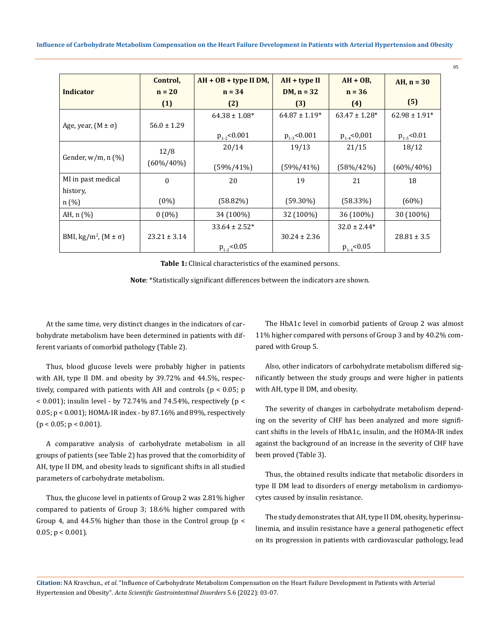**Influence of Carbohydrate Metabolism Compensation on the Heart Failure Development in Patients with Arterial Hypertension and Obesity**

|                                           | Control,         | $AH + OB + type II DM,$ | AH + type II      | $AH + OB$ ,        | AH, $n = 30$      |
|-------------------------------------------|------------------|-------------------------|-------------------|--------------------|-------------------|
| <b>Indicator</b>                          | $n = 20$         | $n = 34$                | $DM, n = 32$      | $n = 36$           |                   |
|                                           | (1)              | (2)                     | (3)               | (4)                | (5)               |
|                                           |                  | $64.38 \pm 1.08^*$      | $64.87 \pm 1.19*$ | $63.47 \pm 1.28$ * | $62.98 \pm 1.91*$ |
| Age, year, $(M \pm \sigma)$               | $56.0 \pm 1.29$  |                         |                   |                    |                   |
|                                           |                  | $p_{1.2}$ <0.001        | $p_{1.3}$ <0.001  | $p_{1.4}$ <0,001   | $p_{1.5}$ <0.01   |
|                                           | 12/8             | 20/14                   | 19/13             | 21/15              | 18/12             |
| Gender, $w/m$ , n $(\%)$                  | $(60\%/40\%)$    |                         |                   |                    |                   |
|                                           |                  | $(59\%/41\%)$           | $(59\%/41\%)$     | $(58\%/42\%)$      | $(60\%/40\%)$     |
| MI in past medical                        | $\Omega$         | 20                      | 19                | 21                 | 18                |
| history,                                  |                  |                         |                   |                    |                   |
| n(%)                                      | $(0\%)$          | (58.82%)                | $(59.30\%)$       | $(58.33\%)$        | $(60\%)$          |
| AH, $n$ $%$ )                             | $0(0\%)$         | 34 (100%)               | 32 (100%)         | 36 (100%)          | 30 (100%)         |
|                                           |                  | $33.64 \pm 2.52^*$      |                   | $32.0 \pm 2.44*$   |                   |
| BMI, kg/m <sup>2</sup> , $(M \pm \sigma)$ | $23.21 \pm 3.14$ |                         | $30.24 \pm 2.36$  |                    | $28.81 \pm 3.5$   |
|                                           |                  | $p_{1.2}$ <0.05         |                   | $p_{1.4}$ <0.05    |                   |

**Table 1:** Clinical characteristics of the examined persons.

**Note**: \*Statistically significant differences between the indicators are shown.

At the same time, very distinct changes in the indicators of carbohydrate metabolism have been determined in patients with different variants of comorbid pathology (Table 2).

Thus, blood glucose levels were probably higher in patients with AH, type II DM. and obesity by 39.72% and 44.5%, respectively, compared with patients with AH and controls (p < 0.05; p  $<$  0.001); insulin level - by 72.74% and 74.54%, respectively (p  $<$ 0.05; p < 0.001); HOMA-IR index - by 87.16% and 89%, respectively  $(p < 0.05; p < 0.001)$ .

A comparative analysis of carbohydrate metabolism in all groups of patients (see Table 2) has proved that the comorbidity of AH, type II DM, and obesity leads to significant shifts in all studied parameters of carbohydrate metabolism.

Thus, the glucose level in patients of Group 2 was 2.81% higher compared to patients of Group 3; 18.6% higher compared with Group 4, and 44.5% higher than those in the Control group (p <  $0.05$ ;  $p < 0.001$ ).

The HbA1c level in comorbid patients of Group 2 was almost 11% higher compared with persons of Group 3 and by 40.2% compared with Group 5.

Also, other indicators of carbohydrate metabolism differed significantly between the study groups and were higher in patients with AH, type II DM, and obesity.

The severity of changes in carbohydrate metabolism depending on the severity of CHF has been analyzed and more significant shifts in the levels of HbA1c, insulin, and the HOMA-IR index against the background of an increase in the severity of CHF have been proved (Table 3).

Thus, the obtained results indicate that metabolic disorders in type II DM lead to disorders of energy metabolism in cardiomyocytes caused by insulin resistance.

The study demonstrates that AH, type II DM, obesity, hyperinsulinemia, and insulin resistance have a general pathogenetic effect on its progression in patients with cardiovascular pathology, lead

**Citation:** NA Kravchun*., et al.* "Influence of Carbohydrate Metabolism Compensation on the Heart Failure Development in Patients with Arterial Hypertension and Obesity". *Acta Scientific Gastrointestinal Disorders* 5.6 (2022): 03-07.

05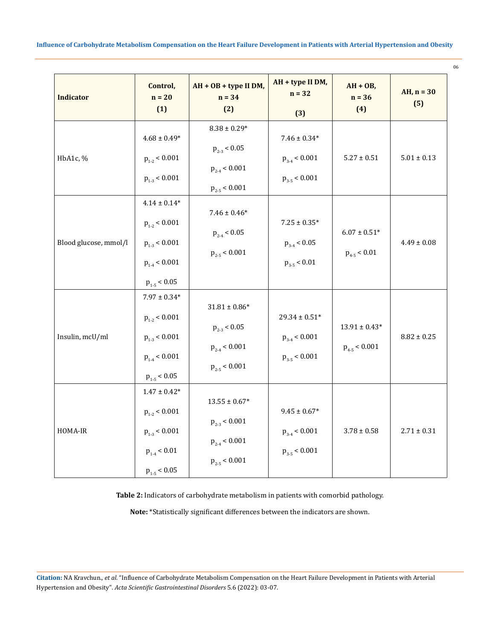Influence of Carbohydrate Metabolism Compensation on the Heart Failure Development in Patients with Arterial Hypertension and Obesity

06

| <b>Indicator</b>      | Control,<br>$n = 20$<br>(1)                                                                         | $AH + OB + type II DM,$<br>$n = 34$<br>(2)                                          | AH + type II DM,<br>$n = 32$<br>(3)                         | $AH + OB$ ,<br>$n = 36$<br>(4)          | AH, $n = 30$<br>(5) |
|-----------------------|-----------------------------------------------------------------------------------------------------|-------------------------------------------------------------------------------------|-------------------------------------------------------------|-----------------------------------------|---------------------|
| HbA1c, %              | $4.68 \pm 0.49*$<br>$p_{1-2}$ < 0.001<br>$p_{1-3}$ < 0.001                                          | $8.38\pm0.29^{*}$<br>$p_{2-3}$ < 0.05<br>$p_{2-4}$ < 0.001<br>$p_{2-5}$ < 0.001     | $7.46\pm0.34^{*}$<br>$p_{3-4}$ < 0.001<br>$p_{3-5}$ < 0.001 | $5.27 \pm 0.51$                         | $5.01 \pm 0.13$     |
| Blood glucose, mmol/l | $4.14\pm0.14^*$<br>$p_{1-2}$ < 0.001<br>$p_{1-3}$ < 0.001<br>$p_{1.4}$ < 0.001<br>$p_{1-5} < 0.05$  | $7.46 \pm 0.46*$<br>$p_{2-4}$ < 0.05<br>$p_{2-5}$ < 0.001                           | $7.25 \pm 0.35^*$<br>$p_{3-4}$ < 0.05<br>$p_{3-5}$ < 0.01   | $6.07\pm0.51^{*}$<br>$p_{4-5}$ < 0.01   | $4.49 \pm 0.08$     |
| Insulin, mcU/ml       | $7.97 \pm 0.34*$<br>$p_{1-2}$ < 0.001<br>$p_{1-3}$ < 0.001<br>$p_{1.4}$ < 0.001<br>$p_{1-5}$ < 0.05 | $31.81\pm0.86^*$<br>$p_{_{\rm 2-3}}<0.05$<br>$p_{2-4}$ < 0.001<br>$p_{2-5}$ < 0.001 | $29.34\pm0.51^*$<br>$p_{3.4}$ < 0.001<br>$p_{3-5}$ < 0.001  | $13.91 \pm 0.43^*$<br>$p_{4-5}$ < 0.001 | $8.82 \pm 0.25$     |
| HOMA-IR               | $1.47\pm0.42^*$<br>$p_{1-2}$ < 0.001<br>$p_{1-3}$ < 0.001<br>$p_{1.4}$ < 0.01<br>$p_{1-5}$ < 0.05   | $13.55 \pm 0.67^*$<br>$p_{2-3}$ < 0.001<br>$p_{2-4}$ < 0.001<br>$p_{2-5}$ < 0.001   | $9.45 \pm 0.67^*$<br>$p_{3-4}$ < 0.001<br>$p_{3-5}$ < 0.001 | $3.78 \pm 0.58$                         | $2.71 \pm 0.31$     |

Table 2: Indicators of carbohydrate metabolism in patients with comorbid pathology.

Note: \*Statistically significant differences between the indicators are shown.

Citation: NA Kravchun., et al. "Influence of Carbohydrate Metabolism Compensation on the Heart Failure Development in Patients with Arterial Hypertension and Obesity". Acta Scientific Gastrointestinal Disorders 5.6 (2022): 03-07.